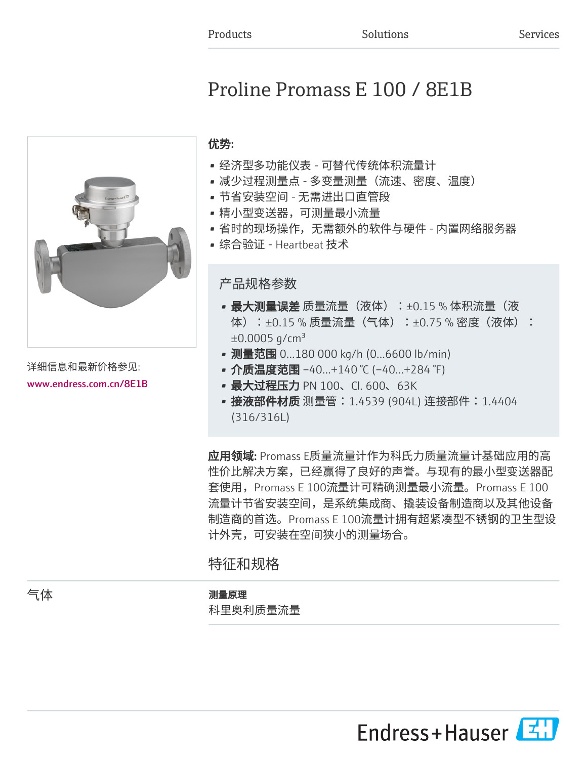# Proline Promass E 100 / 8E1B



详细信息和最新价格参见: [www.endress.com.cn/8E1B](https://www.endress.com.cn/8E1B)

# 优势:

- 经济型多功能仪表 可替代传统体积流量计
- 减少过程测量点 多变量测量(流速、密度、温度)
- 节省安装空间 无需进出口直管段
- 精小型变送器,可测量最小流量
- 省时的现场操作,无需额外的软件与硬件 内置网络服务器
- 综合验证 Heartbeat 技术

## 产品规格参数

- 最大测量误差 质量流量(液体):±0.15 % 体积流量(液 体):±0.15 % 质量流量(气体):±0.75 % 密度(液体):  $±0.0005$  g/cm<sup>3</sup>
- 测量范围 0...180 000 kg/h (0...6600 lb/min)
- 介质温度范围 -40...+140 ℃ (-40...+284 °F)
- 最大过程压力 PN 100、Cl. 600、63K
- 接液部件材质 测量管:1.4539 (904L) 连接部件:1.4404 (316/316L)

应用领域: Promass E质量流量计作为科氏力质量流量计基础应用的高 性价比解决方案,已经赢得了良好的声誉。与现有的最小型变送器配 套使用,Promass E 100流量计可精确测量最小流量。Promass E 100 流量计节省安装空间,是系统集成商、撬装设备制造商以及其他设备 制造商的首选。Promass E 100流量计拥有超紧凑型不锈钢的卫生型设 计外壳,可安装在空间狭小的测量场合。

# 特征和规格

#### 气体 测量原理

科里奥利质量流量

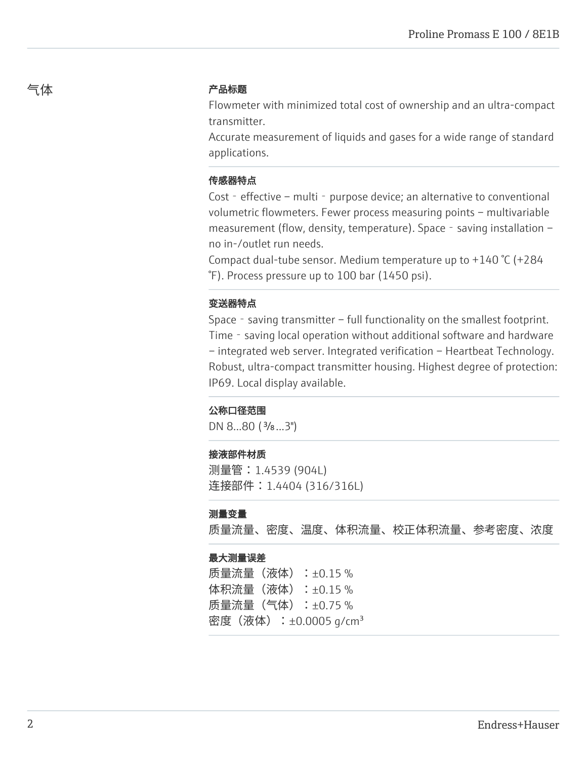#### 气体 しゅうしゃ こうしゃ こうかい 产品标题

Flowmeter with minimized total cost of ownership and an ultra-compact transmitter.

Accurate measurement of liquids and gases for a wide range of standard applications.

#### 传感器特点

Cost – effective – multi - purpose device; an alternative to conventional volumetric flowmeters. Fewer process measuring points – multivariable measurement (flow, density, temperature). Space - saving installation – no in-/outlet run needs.

Compact dual-tube sensor. Medium temperature up to +140 °C (+284 °F). Process pressure up to 100 bar (1450 psi).

#### 变送器特点

Space - saving transmitter – full functionality on the smallest footprint. Time - saving local operation without additional software and hardware – integrated web server. Integrated verification – Heartbeat Technology. Robust, ultra-compact transmitter housing. Highest degree of protection: IP69. Local display available.

#### 公称口径范围

DN 8...80 (<sup>3</sup>/<sub>8</sub>...3")

#### 接液部件材质

测量管:1.4539 (904L) 连接部件:1.4404 (316/316L)

#### 测量变量

质量流量、密度、温度、体积流量、校正体积流量、参考密度、浓度

#### 最大测量误差

质量流量(液体):±0.15 % 体积流量(液体):±0.15 % 质量流量(气体):±0.75 % 密度(液体):±0.0005 g/cm<sup>3</sup>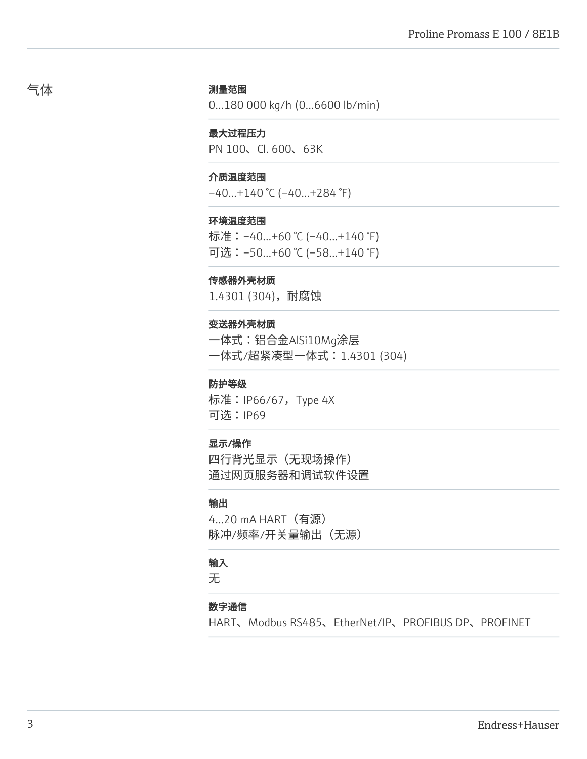#### 测量范围

0...180 000 kg/h (0...6600 lb/min)

#### 最大过程压力

PN 100、Cl. 600、63K

#### 介质温度范围

–40...+140 °C (–40...+284 °F)

#### 环境温度范围

标准:–40...+60 °C (–40...+140 °F) 可选:–50...+60 °C (–58...+140 °F)

#### 传感器外壳材质

1.4301 (304),耐腐蚀

#### 变送器外壳材质

一体式:铝合金AlSi10Mg涂层 一体式/超紧凑型一体式:1.4301 (304)

#### 防护等级

标准:IP66/67,Type 4X 可选:IP69

#### 显示/操作

四行背光显示(无现场操作) 通过网页服务器和调试软件设置

#### 输出

4...20 mA HART(有源) 脉冲/频率/开关量输出(无源)

#### 输入

无

#### 数字通信

HART、Modbus RS485、EtherNet/IP、PROFIBUS DP、PROFINET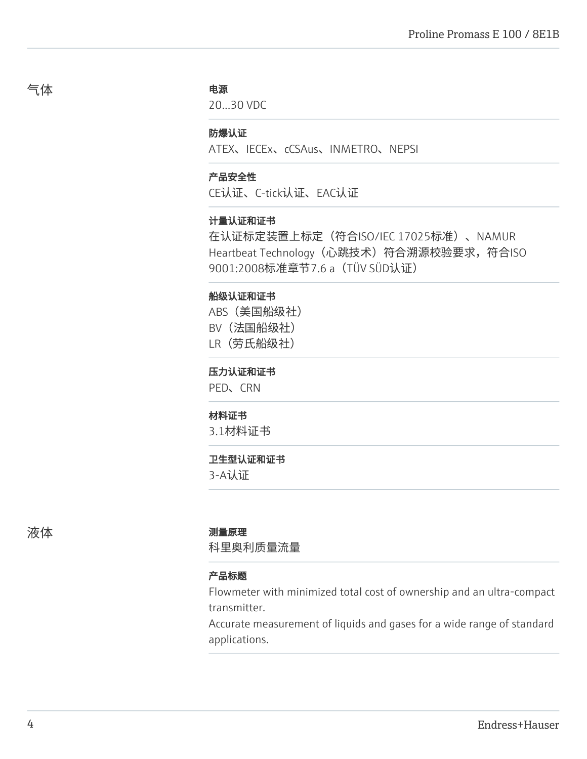#### 电源

20...30 VDC

#### 防爆认证

ATEX、IECEx、cCSAus、INMETRO、NEPSI

#### 产品安全性

CE认证、C-tick认证、EAC认证

#### 计量认证和证书

在认证标定装置上标定(符合ISO/IEC 17025标准)、NAMUR Heartbeat Technology (心跳技术) 符合溯源校验要求, 符合ISO 9001:2008标准章节7.6 a(TÜV SÜD认证)

#### 船级认证和证书

ABS(美国船级社) BV(法国船级社)

LR(劳氏船级社)

#### 压力认证和证书

PED、CRN

#### 材料证书

3.1材料证书

#### 卫生型认证和证书

3-A认证

#### 液体 あいかん あいかん アメリカ 測量原理

科里奥利质量流量

#### 产品标题

Flowmeter with minimized total cost of ownership and an ultra-compact transmitter.

Accurate measurement of liquids and gases for a wide range of standard applications.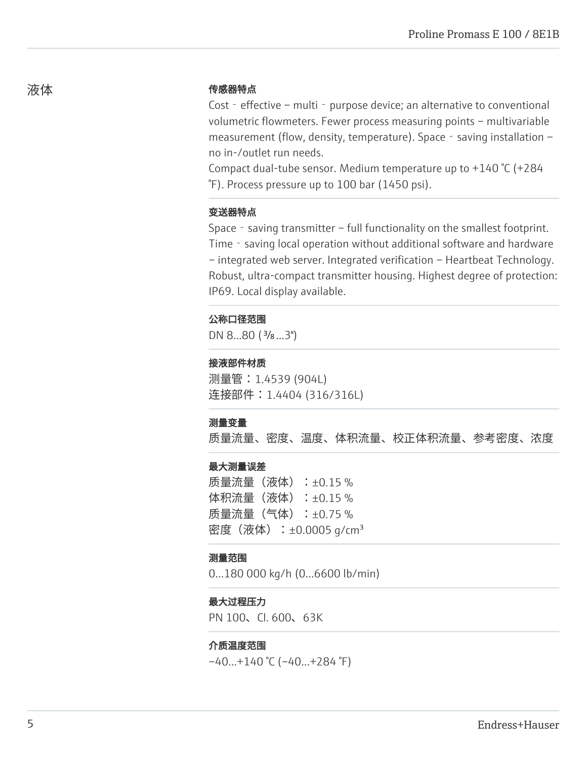#### 传感器特点

Cost - effective – multi - purpose device; an alternative to conventional volumetric flowmeters. Fewer process measuring points – multivariable measurement (flow, density, temperature). Space - saving installation – no in-/outlet run needs.

Compact dual-tube sensor. Medium temperature up to +140 °C (+284 °F). Process pressure up to 100 bar (1450 psi).

#### 变送器特点

Space - saving transmitter – full functionality on the smallest footprint. Time - saving local operation without additional software and hardware – integrated web server. Integrated verification – Heartbeat Technology. Robust, ultra-compact transmitter housing. Highest degree of protection: IP69. Local display available.

#### 公称口径范围

DN 8...80 (<sup>3</sup>/<sub>8</sub>...3")

#### 接液部件材质

测量管:1.4539 (904L) 连接部件: 1.4404 (316/316L)

#### 测量变量

质量流量、密度、温度、体积流量、校正体积流量、参考密度、浓度

#### 最大测量误差

质量流量(液体):±0.15 % 体积流量 (液体) : ±0.15 % 质量流量(气体):±0.75 % 密度(液体): $\pm 0.0005$  g/cm<sup>3</sup>

#### 测量范围

0...180 000 kg/h (0...6600 lb/min)

#### 最大过程压力

PN 100、Cl. 600、63K

#### 介质温度范围

 $-40...+140$  °C ( $-40...+284$  °F)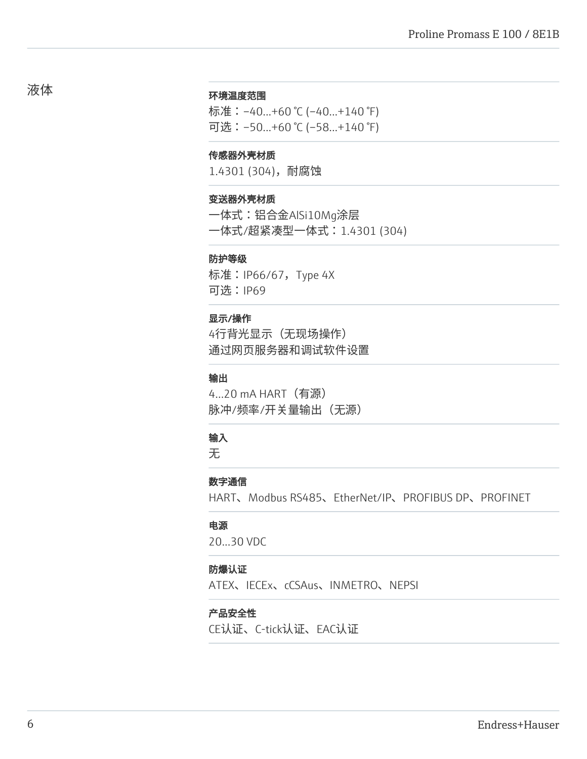#### 环境温度范围

标准:–40...+60 °C (–40...+140 °F) 可选:–50...+60 °C (–58...+140 °F)

#### 传感器外壳材质

1.4301 (304),耐腐蚀

#### 变送器外壳材质

一体式:铝合金AlSi10Mg涂层 一体式/超紧凑型一体式:1.4301 (304)

#### 防护等级

标准:IP66/67,Type 4X 可选:IP69

#### 显示/操作

4行背光显示(无现场操作) 通过网页服务器和调试软件设置

#### 输出

4...20 mA HART(有源) 脉冲/频率/开关量输出(无源)

### 输入

无

#### 数字通信

HART、Modbus RS485、EtherNet/IP、PROFIBUS DP、PROFINET

#### 电源

20...30 VDC

#### 防爆认证

ATEX、IECEx、cCSAus、INMETRO、NEPSI

#### 产品安全性

CE认证、C-tick认证、EAC认证